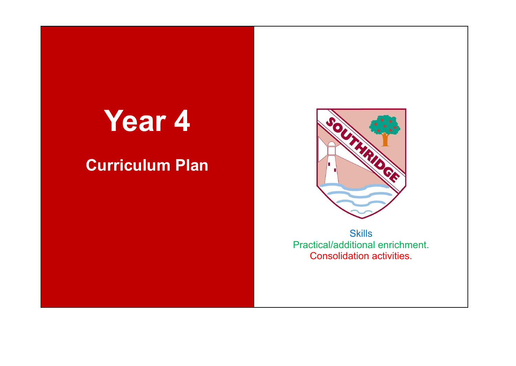## **Year 4**

## **Curriculum Plan**



**Skills** Practical/additional enrichment. Consolidation activities.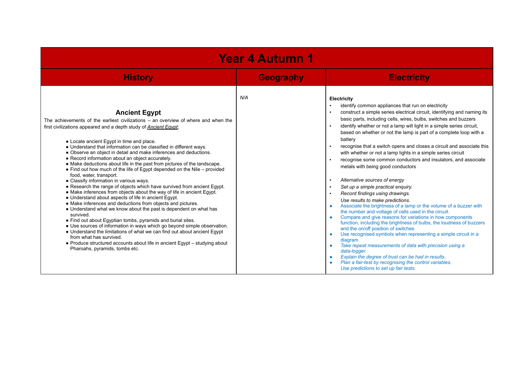| <b>Year 4 Autumn 1</b>                                                                                                                                                                                                                                                                                                                                                                                                                                                                                                                                                                                                                                                                                                                                                                                                                                                                                                                                                                                                                                                                                                                                                                                                                                                                                                                                                                             |                  |                                                                                                                                                                                                                                                                                                                                                                                                                                                                                                                                                                                                                                                                                                                                                                                                                                                                                                                                                                                                                                                                                                                                                                                                                                                                                                                                                                                                     |  |  |
|----------------------------------------------------------------------------------------------------------------------------------------------------------------------------------------------------------------------------------------------------------------------------------------------------------------------------------------------------------------------------------------------------------------------------------------------------------------------------------------------------------------------------------------------------------------------------------------------------------------------------------------------------------------------------------------------------------------------------------------------------------------------------------------------------------------------------------------------------------------------------------------------------------------------------------------------------------------------------------------------------------------------------------------------------------------------------------------------------------------------------------------------------------------------------------------------------------------------------------------------------------------------------------------------------------------------------------------------------------------------------------------------------|------------------|-----------------------------------------------------------------------------------------------------------------------------------------------------------------------------------------------------------------------------------------------------------------------------------------------------------------------------------------------------------------------------------------------------------------------------------------------------------------------------------------------------------------------------------------------------------------------------------------------------------------------------------------------------------------------------------------------------------------------------------------------------------------------------------------------------------------------------------------------------------------------------------------------------------------------------------------------------------------------------------------------------------------------------------------------------------------------------------------------------------------------------------------------------------------------------------------------------------------------------------------------------------------------------------------------------------------------------------------------------------------------------------------------------|--|--|
| <b>History</b>                                                                                                                                                                                                                                                                                                                                                                                                                                                                                                                                                                                                                                                                                                                                                                                                                                                                                                                                                                                                                                                                                                                                                                                                                                                                                                                                                                                     | <b>Geography</b> | <b>Electricity</b>                                                                                                                                                                                                                                                                                                                                                                                                                                                                                                                                                                                                                                                                                                                                                                                                                                                                                                                                                                                                                                                                                                                                                                                                                                                                                                                                                                                  |  |  |
| <b>Ancient Egypt</b><br>The achievements of the earliest civilizations $-$ an overview of where and when the<br>first civilizations appeared and a depth study of <b>Ancient Eavpt</b> ;<br>• Locate ancient Egypt in time and place.<br>• Understand that information can be classified in different ways.<br>• Observe an object in detail and make inferences and deductions.<br>• Record information about an object accurately.<br>• Make deductions about life in the past from pictures of the landscape.<br>• Find out how much of the life of Egypt depended on the Nile - provided<br>food, water, transport.<br>• Classify information in various ways.<br>• Research the range of objects which have survived from ancient Egypt.<br>• Make inferences from objects about the way of life in ancient Egypt.<br>• Understand about aspects of life in ancient Egypt.<br>• Make inferences and deductions from objects and pictures.<br>• Understand what we know about the past is dependent on what has<br>survived.<br>• Find out about Egyptian tombs, pyramids and burial sites.<br>• Use sources of information in ways which go beyond simple observation.<br>• Understand the limitations of what we can find out about ancient Egypt<br>from what has survived.<br>• Produce structured accounts about life in ancient Egypt – studying about<br>Pharoahs, pyramids, tombs etc. | N/A              | Electricity<br>identify common appliances that run on electricity<br>construct a simple series electrical circuit, identifying and naming its<br>basic parts, including cells, wires, bulbs, switches and buzzers<br>identify whether or not a lamp will light in a simple series circuit,<br>based on whether or not the lamp is part of a complete loop with a<br>battery<br>recognise that a switch opens and closes a circuit and associate this<br>with whether or not a lamp lights in a simple series circuit<br>recognise some common conductors and insulators, and associate<br>metals with being good conductors<br>Alternative sources of energy<br>Set up a simple practical enquiry.<br>Record findings using drawings.<br>Use results to make predictions.<br>Associate the brightness of a lamp or the volume of a buzzer with<br>the number and voltage of cells used in the circuit.<br>Compare and give reasons for variations in how components<br>function, including the brightness of bulbs, the loudness of buzzers<br>and the on/off position of switches<br>Use recognised symbols when representing a simple circuit in a<br>diagram<br>Take repeat measurements of data with precision using a<br>data-logger.<br>Explain the degree of trust can be had in results.<br>Plan a fair-test by recognising the control variables.<br>Use predictions to set up fair tests. |  |  |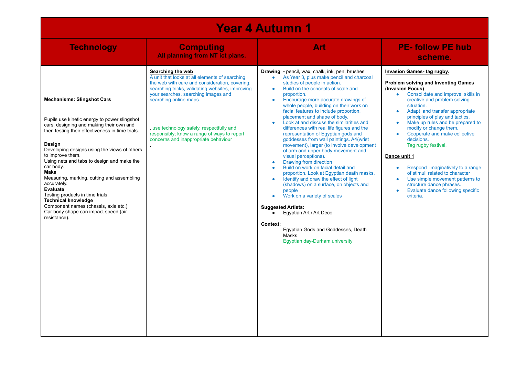| <b>Year 4 Autumn 1</b>                                                                                                                                                                                                                                                                                                                                                                                                                                                                                                                                                        |                                                                                                                                                                                                                                                                                                                                                                              |                                                                                                                                                                                                                                                                                                                                                                                                                                                                                                                                                                                                                                                                                                                                                                                                                                                                                                                                                                                                                                                                                                           |                                                                                                                                                                                                                                                                                                                                                                                                                                                                                                                                                                                                                      |  |
|-------------------------------------------------------------------------------------------------------------------------------------------------------------------------------------------------------------------------------------------------------------------------------------------------------------------------------------------------------------------------------------------------------------------------------------------------------------------------------------------------------------------------------------------------------------------------------|------------------------------------------------------------------------------------------------------------------------------------------------------------------------------------------------------------------------------------------------------------------------------------------------------------------------------------------------------------------------------|-----------------------------------------------------------------------------------------------------------------------------------------------------------------------------------------------------------------------------------------------------------------------------------------------------------------------------------------------------------------------------------------------------------------------------------------------------------------------------------------------------------------------------------------------------------------------------------------------------------------------------------------------------------------------------------------------------------------------------------------------------------------------------------------------------------------------------------------------------------------------------------------------------------------------------------------------------------------------------------------------------------------------------------------------------------------------------------------------------------|----------------------------------------------------------------------------------------------------------------------------------------------------------------------------------------------------------------------------------------------------------------------------------------------------------------------------------------------------------------------------------------------------------------------------------------------------------------------------------------------------------------------------------------------------------------------------------------------------------------------|--|
| <b>Technology</b>                                                                                                                                                                                                                                                                                                                                                                                                                                                                                                                                                             | <b>Computing</b><br>All planning from NT ict plans.                                                                                                                                                                                                                                                                                                                          | Art                                                                                                                                                                                                                                                                                                                                                                                                                                                                                                                                                                                                                                                                                                                                                                                                                                                                                                                                                                                                                                                                                                       | <b>PE-follow PE hub</b><br>scheme.                                                                                                                                                                                                                                                                                                                                                                                                                                                                                                                                                                                   |  |
| <b>Mechanisms: Slingshot Cars</b><br>Pupils use kinetic energy to power slingshot<br>cars, designing and making their own and<br>then testing their effectiveness in time trials.<br>Design<br>Developing designs using the views of others<br>to improve them.<br>Using nets and tabs to design and make the<br>car body.<br>Make<br>Measuring, marking, cutting and assembling<br>accurately.<br>Evaluate<br>Testing products in time trials.<br><b>Technical knowledge</b><br>Component names (chassis, axle etc.)<br>Car body shape can impact speed (air<br>resistance). | Searching the web<br>A unit that looks at all elements of searching<br>the web with care and consideration, covering:<br>searching tricks, validating websites, improving<br>your searches, searching images and<br>searching online maps.<br>use technology safely, respectfully and<br>responsibly; know a range of ways to report<br>concerns and inappropriate behaviour | <b>Drawing</b> - pencil, wax, chalk, ink, pen, brushes<br>As Year 3, plus make pencil and charcoal<br>$\bullet$<br>studies of people in action.<br>Build on the concepts of scale and<br>$\bullet$<br>proportion.<br>Encourage more accurate drawings of<br>$\bullet$<br>whole people, building on their work on<br>facial features to include proportion.<br>placement and shape of body.<br>Look at and discuss the similarities and<br>$\bullet$<br>differences with real life figures and the<br>representation of Eqyptian gods and<br>goddesses from wall paintings. A4(wrist<br>movement), larger (to involve development<br>of arm and upper body movement and<br>visual perceptions).<br>Drawing from direction<br>$\bullet$<br>Build on work on facial detail and<br>proportion. Look at Egyptian death masks.<br>Identify and draw the effect of light<br>(shadows) on a surface, on objects and<br>people<br>Work on a variety of scales<br><b>Suggested Artists:</b><br>Eqyptian Art / Art Deco<br>Context:<br>Egyptian Gods and Goddesses, Death<br>Masks<br>Egyptian day-Durham university | Invasion Games-tag rugby.<br>Problem solving and Inventing Games<br>(Invasion Focus)<br>• Consolidate and improve skills in<br>creative and problem solving<br>situation.<br>Adapt and transfer appropriate<br>$\bullet$<br>principles of play and tactics.<br>Make up rules and be prepared to<br>modify or change them.<br>Cooperate and make collective<br>decisions.<br>Tag rugby festival.<br>Dance unit 1<br>Respond imaginatively to a range<br>$\bullet$<br>of stimuli related to character<br>Use simple movement patterns to<br>structure dance phrases.<br>Evaluate dance following specific<br>criteria. |  |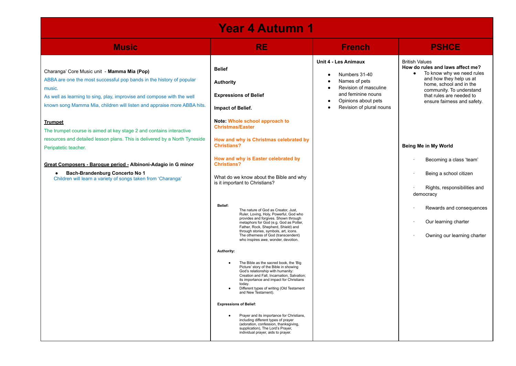| <b>Year 4 Autumn 1</b>                                                                                                                                                                                                                                                                                                                                                      |                                                                                                                                                                                                                                                                                                                                                                                                                                                                                                                                                                   |                                                                                                                                                                                                 |                                                                                                                                                                                                                                     |  |  |
|-----------------------------------------------------------------------------------------------------------------------------------------------------------------------------------------------------------------------------------------------------------------------------------------------------------------------------------------------------------------------------|-------------------------------------------------------------------------------------------------------------------------------------------------------------------------------------------------------------------------------------------------------------------------------------------------------------------------------------------------------------------------------------------------------------------------------------------------------------------------------------------------------------------------------------------------------------------|-------------------------------------------------------------------------------------------------------------------------------------------------------------------------------------------------|-------------------------------------------------------------------------------------------------------------------------------------------------------------------------------------------------------------------------------------|--|--|
| <b>Music</b>                                                                                                                                                                                                                                                                                                                                                                | <b>RE</b>                                                                                                                                                                                                                                                                                                                                                                                                                                                                                                                                                         | <b>French</b>                                                                                                                                                                                   | <b>PSHCE</b>                                                                                                                                                                                                                        |  |  |
| Charanga' Core Music unit - Mamma Mia (Pop)<br>ABBA are one the most successful pop bands in the history of popular<br>music.<br>As well as learning to sing, play, improvise and compose with the well<br>known song Mamma Mia, children will listen and appraise more ABBA hits.<br><b>Trumpet</b><br>The trumpet course is aimed at key stage 2 and contains interactive | <b>Belief</b><br><b>Authority</b><br><b>Expressions of Belief</b><br>Impact of Belief.<br>Note: Whole school approach to<br><b>Christmas/Easter</b>                                                                                                                                                                                                                                                                                                                                                                                                               | Unit 4 - Les Animaux<br>Numbers 31-40<br>Names of pets<br>Revision of masculine<br>$\bullet$<br>and feminine nouns<br>Opinions about pets<br>$\bullet$<br>Revision of plural nouns<br>$\bullet$ | <b>British Values</b><br>How do rules and laws affect me?<br>To know why we need rules<br>and how they help us at<br>home, school and in the<br>community. To understand<br>that rules are needed to<br>ensure fairness and safety. |  |  |
| resources and detailed lesson plans. This is delivered by a North Tyneside<br>Peripatetic teacher.                                                                                                                                                                                                                                                                          | How and why is Christmas celebrated by<br>Christians?                                                                                                                                                                                                                                                                                                                                                                                                                                                                                                             |                                                                                                                                                                                                 | Being Me in My World                                                                                                                                                                                                                |  |  |
| Great Composers - Baroque period - Albinoni-Adagio in G minor<br>Bach-Brandenburg Concerto No 1<br>Children will learn a variety of songs taken from 'Charanga'                                                                                                                                                                                                             | How and why is Easter celebrated by<br><b>Christians?</b><br>What do we know about the Bible and why<br>is it important to Christians?                                                                                                                                                                                                                                                                                                                                                                                                                            |                                                                                                                                                                                                 | Becoming a class 'team'<br>Being a school citizen<br>Rights, responsibilities and<br>democracy                                                                                                                                      |  |  |
|                                                                                                                                                                                                                                                                                                                                                                             | Belief:<br>The nature of God as Creator, Just,<br>Ruler, Loving, Holy, Powerful, God who<br>provides and forgives. Shown through<br>metaphors for God (e.g. God as Potter,<br>Father, Rock, Shepherd, Shield) and<br>through stories, symbols, art, icons.<br>The otherness of God (transcendent)<br>who inspires awe, wonder, devotion.                                                                                                                                                                                                                          |                                                                                                                                                                                                 | Rewards and consequences<br>Our learning charter<br>Owning our learning charter                                                                                                                                                     |  |  |
|                                                                                                                                                                                                                                                                                                                                                                             | Authority:<br>The Bible as the sacred book, the 'Big<br>$\bullet$<br>Picture' story of the Bible in showing<br>God's relationship with humanity:<br>Creation and Fall, Incarnation, Salvation;<br>its importance and impact for Christians<br>today.<br>Different types of writing (Old Testament<br>and New Testament).<br><b>Expressions of Belief:</b><br>Prayer and its importance for Christians,<br>including different types of prayer<br>(adoration, confession, thanksgiving,<br>supplication), The Lord's Prayer,<br>individual prayer, aids to prayer. |                                                                                                                                                                                                 |                                                                                                                                                                                                                                     |  |  |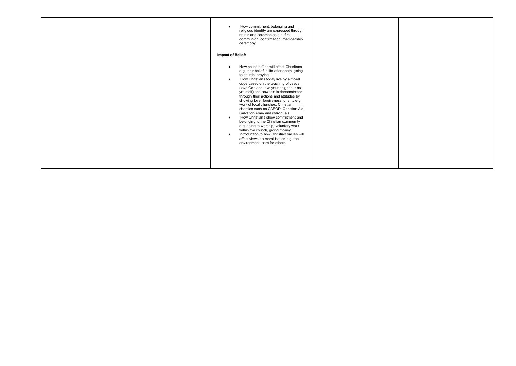| How commitment, belonging and<br>$\bullet$<br>religious identity are expressed through<br>rituals and ceremonies e.g. first<br>communion, confirmation, membership<br>ceremony.<br><b>Impact of Belief:</b>                                                                                                                                                                                                                                                                                                                                                                                                                                                                                                                                                                                                                    |  |
|--------------------------------------------------------------------------------------------------------------------------------------------------------------------------------------------------------------------------------------------------------------------------------------------------------------------------------------------------------------------------------------------------------------------------------------------------------------------------------------------------------------------------------------------------------------------------------------------------------------------------------------------------------------------------------------------------------------------------------------------------------------------------------------------------------------------------------|--|
| How belief in God will affect Christians<br>$\bullet$<br>e.g. their belief in life after death, going<br>to church, praying.<br>How Christians today live by a moral<br>$\bullet$<br>code based on the teaching of Jesus<br>(love God and love your neighbour as<br>yourself) and how this is demonstrated<br>through their actions and attitudes by<br>showing love, forgiveness, charity e.g.<br>work of local churches, Christian<br>charities such as CAFOD, Christian Aid,<br>Salvation Army and individuals.<br>How Christians show commitment and<br>$\bullet$<br>belonging to the Christian community<br>e.g. going to worship, voluntary work<br>within the church, giving money.<br>Introduction to how Christian values will<br>$\bullet$<br>affect views on moral issues e.g. the<br>environment, care for others. |  |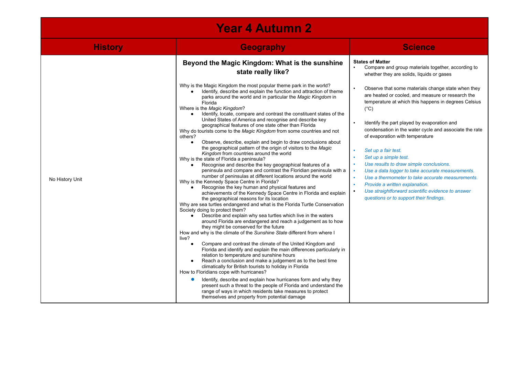| <b>Year 4 Autumn 2</b> |                                                                                                                                                                                                                                                                                                                                                                                                                                                                                                                                                                                                                                                                                                                                                                                                                                                                                                                                                                                                                                                                                                                                                                                                                                                                                                                                                                                                                                                                                                                                                                                                                                                                                                                                                                                                                                                                                                                                                                                                                                                                                                                                                                                                                                                                                          |                                                                                                                                                                                                                                                                                                                                                                                                                                                                                                                                                                                                                                                                                                                                                                                                                                                                                                        |  |  |
|------------------------|------------------------------------------------------------------------------------------------------------------------------------------------------------------------------------------------------------------------------------------------------------------------------------------------------------------------------------------------------------------------------------------------------------------------------------------------------------------------------------------------------------------------------------------------------------------------------------------------------------------------------------------------------------------------------------------------------------------------------------------------------------------------------------------------------------------------------------------------------------------------------------------------------------------------------------------------------------------------------------------------------------------------------------------------------------------------------------------------------------------------------------------------------------------------------------------------------------------------------------------------------------------------------------------------------------------------------------------------------------------------------------------------------------------------------------------------------------------------------------------------------------------------------------------------------------------------------------------------------------------------------------------------------------------------------------------------------------------------------------------------------------------------------------------------------------------------------------------------------------------------------------------------------------------------------------------------------------------------------------------------------------------------------------------------------------------------------------------------------------------------------------------------------------------------------------------------------------------------------------------------------------------------------------------|--------------------------------------------------------------------------------------------------------------------------------------------------------------------------------------------------------------------------------------------------------------------------------------------------------------------------------------------------------------------------------------------------------------------------------------------------------------------------------------------------------------------------------------------------------------------------------------------------------------------------------------------------------------------------------------------------------------------------------------------------------------------------------------------------------------------------------------------------------------------------------------------------------|--|--|
| <b>History</b>         | <b>Geography</b>                                                                                                                                                                                                                                                                                                                                                                                                                                                                                                                                                                                                                                                                                                                                                                                                                                                                                                                                                                                                                                                                                                                                                                                                                                                                                                                                                                                                                                                                                                                                                                                                                                                                                                                                                                                                                                                                                                                                                                                                                                                                                                                                                                                                                                                                         | <b>Science</b>                                                                                                                                                                                                                                                                                                                                                                                                                                                                                                                                                                                                                                                                                                                                                                                                                                                                                         |  |  |
| No History Unit        | Beyond the Magic Kingdom: What is the sunshine<br>state really like?<br>Why is the Magic Kingdom the most popular theme park in the world?<br>Identify, describe and explain the function and attraction of theme<br>parks around the world and in particular the Magic Kingdom in<br>Florida<br>Where is the Magic Kingdom?<br>Identify, locate, compare and contrast the constituent states of the<br>United States of America and recognise and describe key<br>geographical features of one state other than Florida<br>Why do tourists come to the Magic Kingdom from some countries and not<br>others?<br>Observe, describe, explain and begin to draw conclusions about<br>$\bullet$<br>the geographical pattern of the origin of visitors to the Magic<br>Kingdom from countries around the world<br>Why is the state of Florida a peninsula?<br>Recognise and describe the key geographical features of a<br>peninsula and compare and contrast the Floridian peninsula with a<br>number of peninsulas at different locations around the world<br>Why is the Kennedy Space Centre in Florida?<br>Recognise the key human and physical features and<br>achievements of the Kennedy Space Centre in Florida and explain<br>the geographical reasons for its location<br>Why are sea turtles endangered and what is the Florida Turtle Conservation<br>Society doing to protect them?<br>Describe and explain why sea turtles which live in the waters<br>around Florida are endangered and reach a judgement as to how<br>they might be conserved for the future<br>How and why is the climate of the Sunshine State different from where I<br>live?<br>Compare and contrast the climate of the United Kingdom and<br>$\bullet$<br>Florida and identify and explain the main differences particularly in<br>relation to temperature and sunshine hours<br>Reach a conclusion and make a judgement as to the best time<br>climatically for British tourists to holiday in Florida<br>How to Floridians cope with hurricanes?<br>Identify, describe and explain how hurricanes form and why they<br>present such a threat to the people of Florida and understand the<br>range of ways in which residents take measures to protect<br>themselves and property from potential damage | <b>States of Matter</b><br>Compare and group materials together, according to<br>whether they are solids, liquids or gases<br>$\blacksquare$<br>Observe that some materials change state when they<br>are heated or cooled, and measure or research the<br>temperature at which this happens in degrees Celsius<br>$(^{\circ}C)$<br>$\blacksquare$<br>Identify the part played by evaporation and<br>condensation in the water cycle and associate the rate<br>of evaporation with temperature<br>Set up a fair test.<br>×<br>Set up a simple test.<br>×<br>Use results to draw simple conclusions.<br>$\mathbf{r}$<br>Use a data logger to take accurate measurements.<br>18<br>$\alpha$<br>Use a thermometer to take accurate measurements.<br>Provide a written explanation.<br>$\sim$<br>Use straightforward scientific evidence to answer<br>$\bullet$<br>questions or to support their findings. |  |  |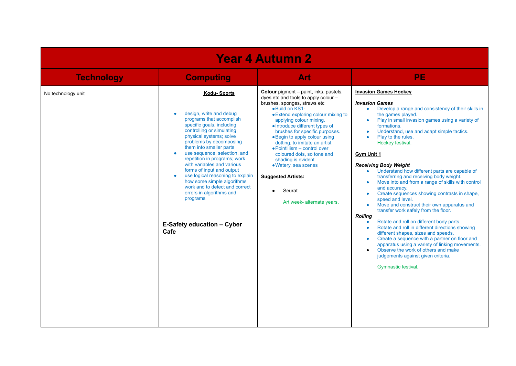| <b>Year 4 Autumn 2</b> |                                                                                                                                                                                                                                                                                                                                                                                                                                                                                                                                                                          |                                                                                                                                                                                                                                                                                                                                                                                                                                                                                                                                         |                                                                                                                                                                                                                                                                                                                                                                                                                                                                                                                                                                                                                                                                                                                                                                                                                                                                                                                                                                                                                                                                                                                                                                                                        |  |
|------------------------|--------------------------------------------------------------------------------------------------------------------------------------------------------------------------------------------------------------------------------------------------------------------------------------------------------------------------------------------------------------------------------------------------------------------------------------------------------------------------------------------------------------------------------------------------------------------------|-----------------------------------------------------------------------------------------------------------------------------------------------------------------------------------------------------------------------------------------------------------------------------------------------------------------------------------------------------------------------------------------------------------------------------------------------------------------------------------------------------------------------------------------|--------------------------------------------------------------------------------------------------------------------------------------------------------------------------------------------------------------------------------------------------------------------------------------------------------------------------------------------------------------------------------------------------------------------------------------------------------------------------------------------------------------------------------------------------------------------------------------------------------------------------------------------------------------------------------------------------------------------------------------------------------------------------------------------------------------------------------------------------------------------------------------------------------------------------------------------------------------------------------------------------------------------------------------------------------------------------------------------------------------------------------------------------------------------------------------------------------|--|
| <b>Technology</b>      | <b>Computing</b>                                                                                                                                                                                                                                                                                                                                                                                                                                                                                                                                                         | Art                                                                                                                                                                                                                                                                                                                                                                                                                                                                                                                                     | <b>PE</b>                                                                                                                                                                                                                                                                                                                                                                                                                                                                                                                                                                                                                                                                                                                                                                                                                                                                                                                                                                                                                                                                                                                                                                                              |  |
| No technology unit     | <b>Kodu-Sports</b><br>design, write and debug<br>$\bullet$<br>programs that accomplish<br>specific goals, including<br>controlling or simulating<br>physical systems; solve<br>problems by decomposing<br>them into smaller parts<br>use sequence, selection, and<br>$\bullet$<br>repetition in programs; work<br>with variables and various<br>forms of input and output<br>use logical reasoning to explain<br>$\bullet$<br>how some simple algorithms<br>work and to detect and correct<br>errors in algorithms and<br>programs<br>E-Safety education - Cyber<br>Cafe | Colour pigment - paint, inks, pastels,<br>dyes etc and tools to apply colour -<br>brushes, sponges, straws etc<br>.Build on KS1-<br>• Extend exploring colour mixing to<br>applying colour mixing.<br>• Introduce different types of<br>brushes for specific purposes.<br>• Begin to apply colour using<br>dotting, to imitate an artist.<br>• Pointillism – control over<br>coloured dots, so tone and<br>shading is evident<br>· Watery, sea scenes<br><b>Suggested Artists:</b><br>Seurat<br>$\bullet$<br>Art week- alternate years. | <b>Invasion Games Hockey</b><br><b>Invasion Games</b><br>Develop a range and consistency of their skills in<br>$\bullet$<br>the games played.<br>Play in small invasion games using a variety of<br>$\bullet$<br>formations.<br>Understand, use and adapt simple tactics.<br>$\bullet$<br>Play to the rules.<br>$\bullet$<br>Hockey festival.<br><b>Gym Unit 1</b><br><b>Receiving Body Weight</b><br>Understand how different parts are capable of<br>$\bullet$<br>transferring and receiving body weight.<br>Move into and from a range of skills with control<br>$\bullet$<br>and accuracy.<br>Create sequences showing contrasts in shape,<br>$\bullet$<br>speed and level.<br>Move and construct their own apparatus and<br>$\bullet$<br>transfer work safely from the floor.<br><b>Rolling</b><br>Rotate and roll on different body parts.<br>$\bullet$<br>Rotate and roll in different directions showing<br>$\bullet$<br>different shapes, sizes and speeds.<br>Create a sequence with a partner on floor and<br>$\bullet$<br>apparatus using a variety of linking movements.<br>Observe the work of others and make<br>$\bullet$<br>judgements against given criteria.<br>Gymnastic festival. |  |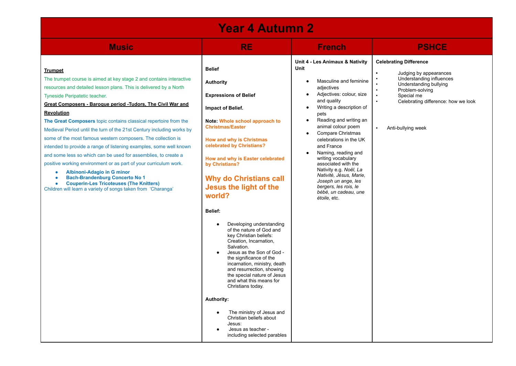| <b>Year 4 Autumn 2</b>                                                                                                                                                                                                                                                                                                                                                                                                                                                                                                                                                                                                                                                                                                                                                                                                                                                                                      |                                                                                                                                                                                                                                                                                                                                                                                                                                                                                                                                                                                                                                                                                                                                                                                                                                                                            |                                                                                                                                                                                                                                                                                                                                                                                                                                                                                                                                                                            |                                                                                                                                                                                                             |  |
|-------------------------------------------------------------------------------------------------------------------------------------------------------------------------------------------------------------------------------------------------------------------------------------------------------------------------------------------------------------------------------------------------------------------------------------------------------------------------------------------------------------------------------------------------------------------------------------------------------------------------------------------------------------------------------------------------------------------------------------------------------------------------------------------------------------------------------------------------------------------------------------------------------------|----------------------------------------------------------------------------------------------------------------------------------------------------------------------------------------------------------------------------------------------------------------------------------------------------------------------------------------------------------------------------------------------------------------------------------------------------------------------------------------------------------------------------------------------------------------------------------------------------------------------------------------------------------------------------------------------------------------------------------------------------------------------------------------------------------------------------------------------------------------------------|----------------------------------------------------------------------------------------------------------------------------------------------------------------------------------------------------------------------------------------------------------------------------------------------------------------------------------------------------------------------------------------------------------------------------------------------------------------------------------------------------------------------------------------------------------------------------|-------------------------------------------------------------------------------------------------------------------------------------------------------------------------------------------------------------|--|
| <b>Music</b>                                                                                                                                                                                                                                                                                                                                                                                                                                                                                                                                                                                                                                                                                                                                                                                                                                                                                                | <b>RE</b>                                                                                                                                                                                                                                                                                                                                                                                                                                                                                                                                                                                                                                                                                                                                                                                                                                                                  | <b>French</b>                                                                                                                                                                                                                                                                                                                                                                                                                                                                                                                                                              | <b>PSHCE</b>                                                                                                                                                                                                |  |
| <b>Trumpet</b><br>The trumpet course is aimed at key stage 2 and contains interactive<br>resources and detailed lesson plans. This is delivered by a North<br>Tyneside Peripatetic teacher.<br>Great Composers - Baroque period -Tudors, The Civil War and<br><b>Revolution</b><br>The Great Composers topic contains classical repertoire from the<br>Medieval Period until the turn of the 21st Century including works by<br>some of the most famous western composers. The collection is<br>intended to provide a range of listening examples, some well known<br>and some less so which can be used for assemblies, to create a<br>positive working environment or as part of your curriculum work.<br>Albinoni-Adagio in G minor<br>٠<br><b>Bach-Brandenburg Concerto No 1</b><br>۰<br><b>Couperin-Les Tricoteuses (The Knitters)</b><br>Children will learn a variety of songs taken from 'Charanga' | <b>Belief</b><br><b>Authority</b><br><b>Expressions of Belief</b><br>Impact of Belief.<br>Note: Whole school approach to<br><b>Christmas/Easter</b><br><b>How and why is Christmas</b><br>celebrated by Christians?<br>How and why is Easter celebrated<br>by Christians?<br><b>Why do Christians call</b><br>Jesus the light of the<br>world?<br>Belief:<br>Developing understanding<br>$\bullet$<br>of the nature of God and<br>key Christian beliefs:<br>Creation, Incarnation,<br>Salvation.<br>Jesus as the Son of God -<br>the significance of the<br>incarnation, ministry, death<br>and resurrection, showing<br>the special nature of Jesus<br>and what this means for<br>Christians today.<br><b>Authority:</b><br>The ministry of Jesus and<br>$\bullet$<br>Christian beliefs about<br>Jesus:<br>Jesus as teacher -<br>$\bullet$<br>including selected parables | Unit 4 - Les Animaux & Nativity<br>Unit<br>Masculine and feminine<br>$\bullet$<br>adjectives<br>Adjectives: colour, size<br>$\bullet$<br>and quality<br>Writing a description of<br>$\bullet$<br>pets<br>Reading and writing an<br>$\bullet$<br>animal colour poem<br>Compare Christmas<br>$\bullet$<br>celebrations in the UK<br>and France<br>Naming, reading and<br>$\bullet$<br>writing vocabulary<br>associated with the<br>Nativity e.g. Noël, La<br>Nativité, Jésus, Marie,<br>Joseph un ange, les<br>bergers, les rois, le<br>bébé, un cadeau, une<br>étoile, etc. | <b>Celebrating Difference</b><br>Judging by appearances<br>Understanding influences<br>Understanding bullying<br>Problem-solving<br>Special me<br>Celebrating difference: how we look<br>Anti-bullying week |  |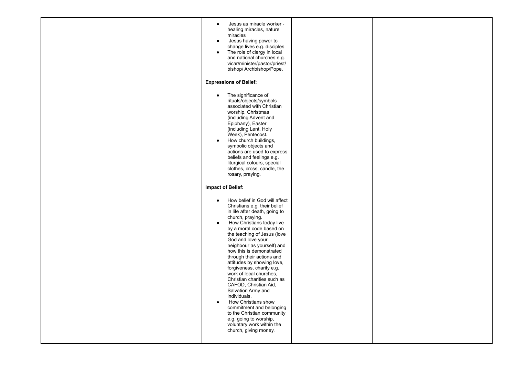| Jesus as miracle worker -<br>$\bullet$<br>healing miracles, nature<br>miracles<br>Jesus having power to<br>$\bullet$<br>change lives e.g. disciples<br>The role of clergy in local<br>$\bullet$<br>and national churches e.g.<br>vicar/minister/pastor/priest/<br>bishop/ Archbishop/Pope.                                                                                                                                                                                                                                                                                                                                                                                                                         |  |
|--------------------------------------------------------------------------------------------------------------------------------------------------------------------------------------------------------------------------------------------------------------------------------------------------------------------------------------------------------------------------------------------------------------------------------------------------------------------------------------------------------------------------------------------------------------------------------------------------------------------------------------------------------------------------------------------------------------------|--|
| <b>Expressions of Belief:</b>                                                                                                                                                                                                                                                                                                                                                                                                                                                                                                                                                                                                                                                                                      |  |
| The significance of<br>$\bullet$<br>rituals/objects/symbols<br>associated with Christian<br>worship, Christmas<br>(including Advent and<br>Epiphany), Easter<br>(including Lent, Holy<br>Week), Pentecost.<br>How church buildings,<br>$\bullet$<br>symbolic objects and<br>actions are used to express<br>beliefs and feelings e.g.<br>liturgical colours, special<br>clothes, cross, candle, the<br>rosary, praying.                                                                                                                                                                                                                                                                                             |  |
| <b>Impact of Belief:</b>                                                                                                                                                                                                                                                                                                                                                                                                                                                                                                                                                                                                                                                                                           |  |
| How belief in God will affect<br>$\bullet$<br>Christians e.g. their belief<br>in life after death, going to<br>church, praying.<br>How Christians today live<br>$\bullet$<br>by a moral code based on<br>the teaching of Jesus (love<br>God and love your<br>neighbour as yourself) and<br>how this is demonstrated<br>through their actions and<br>attitudes by showing love,<br>forgiveness, charity e.g.<br>work of local churches,<br>Christian charities such as<br>CAFOD, Christian Aid,<br>Salvation Army and<br>individuals.<br>How Christians show<br>$\bullet$<br>commitment and belonging<br>to the Christian community<br>e.g. going to worship,<br>voluntary work within the<br>church, giving money. |  |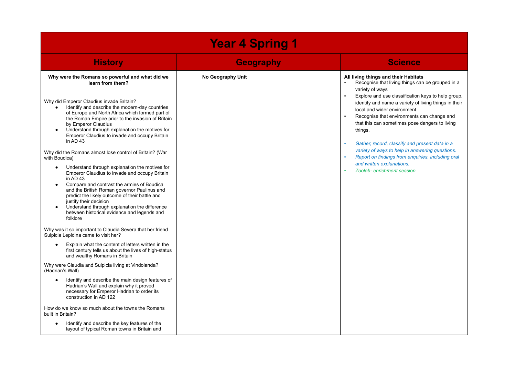| <b>Year 4 Spring 1</b>                                                                                                                                                                                                                                                                                                                                                                                                                                                                                                                                                                                                                                                                                                                                                                                                                                                                                                                                                                                                                                                                                                                                                                                                                                                                                                                                                                                                                                                                                                                                                                                                |                   |                                                                                                                                                                                                                                                                                                                                                                                                                                                                                                                                                                                           |  |
|-----------------------------------------------------------------------------------------------------------------------------------------------------------------------------------------------------------------------------------------------------------------------------------------------------------------------------------------------------------------------------------------------------------------------------------------------------------------------------------------------------------------------------------------------------------------------------------------------------------------------------------------------------------------------------------------------------------------------------------------------------------------------------------------------------------------------------------------------------------------------------------------------------------------------------------------------------------------------------------------------------------------------------------------------------------------------------------------------------------------------------------------------------------------------------------------------------------------------------------------------------------------------------------------------------------------------------------------------------------------------------------------------------------------------------------------------------------------------------------------------------------------------------------------------------------------------------------------------------------------------|-------------------|-------------------------------------------------------------------------------------------------------------------------------------------------------------------------------------------------------------------------------------------------------------------------------------------------------------------------------------------------------------------------------------------------------------------------------------------------------------------------------------------------------------------------------------------------------------------------------------------|--|
| <b>History</b>                                                                                                                                                                                                                                                                                                                                                                                                                                                                                                                                                                                                                                                                                                                                                                                                                                                                                                                                                                                                                                                                                                                                                                                                                                                                                                                                                                                                                                                                                                                                                                                                        | <b>Geography</b>  | <b>Science</b>                                                                                                                                                                                                                                                                                                                                                                                                                                                                                                                                                                            |  |
| Why were the Romans so powerful and what did we<br>learn from them?<br>Why did Emperor Claudius invade Britain?<br>Identify and describe the modern-day countries<br>$\bullet$<br>of Europe and North Africa which formed part of<br>the Roman Empire prior to the invasion of Britain<br>by Emperor Claudius<br>Understand through explanation the motives for<br>Emperor Claudius to invade and occupy Britain<br>in $AD$ 43<br>Why did the Romans almost lose control of Britain? (War<br>with Boudica)<br>Understand through explanation the motives for<br>$\bullet$<br>Emperor Claudius to invade and occupy Britain<br>in $AD$ 43<br>Compare and contrast the armies of Boudica<br>$\bullet$<br>and the British Roman governor Paulinus and<br>predict the likely outcome of their battle and<br>justify their decision<br>Understand through explanation the difference<br>$\bullet$<br>between historical evidence and legends and<br>folklore<br>Why was it so important to Claudia Severa that her friend<br>Sulpicia Lepidina came to visit her?<br>Explain what the content of letters written in the<br>$\bullet$<br>first century tells us about the lives of high-status<br>and wealthy Romans in Britain<br>Why were Claudia and Sulpicia living at Vindolanda?<br>(Hadrian's Wall)<br>Identify and describe the main design features of<br>$\bullet$<br>Hadrian's Wall and explain why it proved<br>necessary for Emperor Hadrian to order its<br>construction in AD 122<br>How do we know so much about the towns the Romans<br>built in Britain?<br>Identify and describe the key features of the | No Geography Unit | All living things and their Habitats<br>Recognise that living things can be grouped in a<br>variety of ways<br>Explore and use classification keys to help group,<br>identify and name a variety of living things in their<br>local and wider environment<br>Recognise that environments can change and<br>that this can sometimes pose dangers to living<br>things.<br>Gather, record, classify and present data in a<br>variety of ways to help in answering questions.<br>Report on findings from enquiries, including oral<br>and written explanations.<br>Zoolab-enrichment session. |  |
| layout of typical Roman towns in Britain and                                                                                                                                                                                                                                                                                                                                                                                                                                                                                                                                                                                                                                                                                                                                                                                                                                                                                                                                                                                                                                                                                                                                                                                                                                                                                                                                                                                                                                                                                                                                                                          |                   |                                                                                                                                                                                                                                                                                                                                                                                                                                                                                                                                                                                           |  |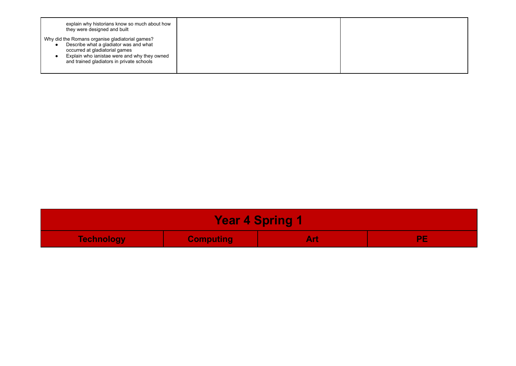| explain why historians know so much about how<br>they were designed and built                                                                                                                                            |  |
|--------------------------------------------------------------------------------------------------------------------------------------------------------------------------------------------------------------------------|--|
| Why did the Romans organise gladiatorial games?<br>Describe what a gladiator was and what<br>occurred at gladiatorial games<br>Explain who ianistae were and why they owned<br>and trained gladiators in private schools |  |

| <b>Year 4 Spring 1</b>                       |  |  |  |
|----------------------------------------------|--|--|--|
| <b>Computing</b><br><b>Technology</b><br>Art |  |  |  |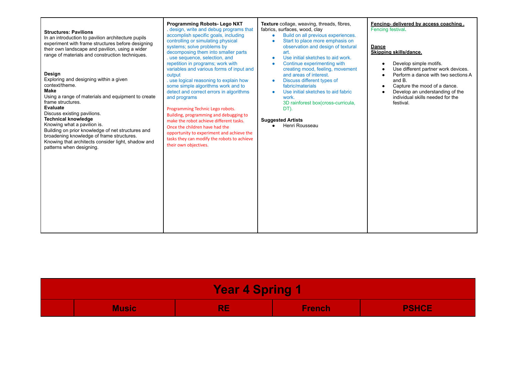| <b>Structures: Pavilions</b><br>In an introduction to pavilion architecture pupils<br>experiment with frame structures before designing<br>their own landscape and pavilion, using a wider<br>range of materials and construction techniques.<br>Design<br>Exploring and designing within a given<br>context/theme.<br>Make<br>Using a range of materials and equipment to create<br>frame structures.<br><b>Evaluate</b><br>Discuss existing pavilions.<br><b>Technical knowledge</b><br>Knowing what a pavilion is.<br>Building on prior knowledge of net structures and<br>broadening knowledge of frame structures.<br>Knowing that architects consider light, shadow and | Programming Robots- Lego NXT<br>design, write and debug programs that<br>accomplish specific goals, including<br>controlling or simulating physical<br>systems; solve problems by<br>decomposing them into smaller parts<br>. use sequence, selection, and<br>repetition in programs; work with<br>variables and various forms of input and<br>output<br>. use logical reasoning to explain how<br>some simple algorithms work and to<br>detect and correct errors in algorithms<br>and programs<br>Programming Technic Lego robots.<br>Building, programming and debugging to<br>make the robot achieve different tasks.<br>Once the children have had the<br>opportunity to experiment and achieve the<br>tasks they can modify the robots to achieve<br>their own objectives. | Texture collage, weaving, threads, fibres,<br>fabrics, surfaces, wood, clay<br>Build on all previous experiences.<br>$\bullet$<br>Start to place more emphasis on<br>$\bullet$<br>observation and design of textural<br>art.<br>Use initial sketches to aid work.<br>$\bullet$<br>Continue experimenting with<br>creating mood, feeling, movement<br>and areas of interest.<br>Discuss different types of<br>fabric/materials<br>Use initial sketches to aid fabric<br>work.<br>3D rainforest box(cross-curricula,<br>DT).<br><b>Suggested Artists</b><br>Henri Rousseau<br>$\bullet$ | Fencing- delivered by access coaching.<br>Fencing festival.<br><b>Dance</b><br>Skipping skills/dance.<br>Develop simple motifs.<br>Use different partner work devices.<br>Perform a dance with two sections A<br>and B.<br>Capture the mood of a dance.<br>Develop an understanding of the<br>individual skills needed for the<br>festival. |
|-------------------------------------------------------------------------------------------------------------------------------------------------------------------------------------------------------------------------------------------------------------------------------------------------------------------------------------------------------------------------------------------------------------------------------------------------------------------------------------------------------------------------------------------------------------------------------------------------------------------------------------------------------------------------------|----------------------------------------------------------------------------------------------------------------------------------------------------------------------------------------------------------------------------------------------------------------------------------------------------------------------------------------------------------------------------------------------------------------------------------------------------------------------------------------------------------------------------------------------------------------------------------------------------------------------------------------------------------------------------------------------------------------------------------------------------------------------------------|---------------------------------------------------------------------------------------------------------------------------------------------------------------------------------------------------------------------------------------------------------------------------------------------------------------------------------------------------------------------------------------------------------------------------------------------------------------------------------------------------------------------------------------------------------------------------------------|---------------------------------------------------------------------------------------------------------------------------------------------------------------------------------------------------------------------------------------------------------------------------------------------------------------------------------------------|
| patterns when designing.                                                                                                                                                                                                                                                                                                                                                                                                                                                                                                                                                                                                                                                      |                                                                                                                                                                                                                                                                                                                                                                                                                                                                                                                                                                                                                                                                                                                                                                                  |                                                                                                                                                                                                                                                                                                                                                                                                                                                                                                                                                                                       |                                                                                                                                                                                                                                                                                                                                             |

| <b>Year 4 Spring</b> |       |                         |               |              |
|----------------------|-------|-------------------------|---------------|--------------|
|                      | Music | DE<br><b>The Common</b> | <b>French</b> | <b>PSHCE</b> |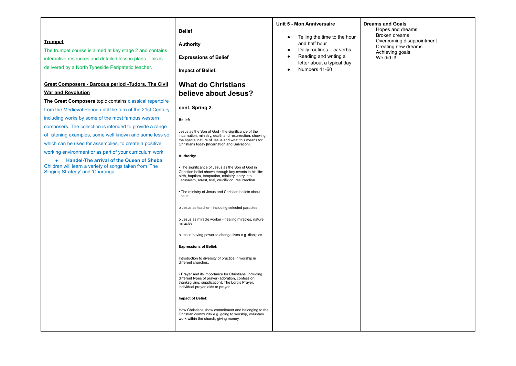| <b>Trumpet</b><br>The trumpet course is aimed at key stage 2 and contains<br>interactive resources and detailed lesson plans. This is<br>delivered by a North Tyneside Peripatetic teacher.<br><b>Great Composers - Baroque period - Tudors. The Civil</b><br><b>War and Revolution</b><br>The Great Composers topic contains classical repertoire<br>from the Medieval Period until the turn of the 21st Century<br>including works by some of the most famous western<br>composers. The collection is intended to provide a range<br>of listening examples, some well known and some less so<br>which can be used for assemblies, to create a positive<br>working environment or as part of your curriculum work.<br><b>Handel-The arrival of the Queen of Sheba</b><br>$\bullet$<br>Children will learn a variety of songs taken from 'The<br>Singing Strategy' and 'Charanga' | <b>Belief</b><br><b>Authority</b><br><b>Expressions of Belief</b><br><b>Impact of Belief.</b><br><b>What do Christians</b><br>believe about Jesus?<br>cont. Spring 2.<br>Belief:<br>Jesus as the Son of God - the significance of the<br>incarnation, ministry, death and resurrection, showing<br>the special nature of Jesus and what this means for<br>Christians today [Incarnation and Salvation].<br>Authority:<br>• The significance of Jesus as the Son of God in<br>Christian belief shown through key events in his life:<br>birth, baptism, temptation, ministry, entry into<br>Jerusalem, arrest, trial, crucifixion, resurrection.<br>• The ministry of Jesus and Christian beliefs about<br>Jesus:<br>o Jesus as teacher - including selected parables<br>o Jesus as miracle worker - healing miracles, nature<br>miracles<br>o Jesus having power to change lives e.g. disciples.<br><b>Expressions of Belief:</b><br>Introduction to diversity of practice in worship in<br>different churches.<br>• Prayer and its importance for Christians, including<br>different types of prayer (adoration, confession,<br>thanksgiving, supplication), The Lord's Prayer,<br>individual prayer, aids to prayer. | Unit 5 - Mon Anniversaire<br>Telling the time to the hour<br>$\bullet$<br>and half hour<br>Daily routines - er verbs<br>$\bullet$<br>Reading and writing a<br>letter about a typical day<br>Numbers 41-60 | <b>Dreams and Goals</b><br>Hopes and dreams<br>Broken dreams<br>Overcoming disappointment<br>Creating new dreams<br>Achieving goals<br>We did it! |
|-----------------------------------------------------------------------------------------------------------------------------------------------------------------------------------------------------------------------------------------------------------------------------------------------------------------------------------------------------------------------------------------------------------------------------------------------------------------------------------------------------------------------------------------------------------------------------------------------------------------------------------------------------------------------------------------------------------------------------------------------------------------------------------------------------------------------------------------------------------------------------------|------------------------------------------------------------------------------------------------------------------------------------------------------------------------------------------------------------------------------------------------------------------------------------------------------------------------------------------------------------------------------------------------------------------------------------------------------------------------------------------------------------------------------------------------------------------------------------------------------------------------------------------------------------------------------------------------------------------------------------------------------------------------------------------------------------------------------------------------------------------------------------------------------------------------------------------------------------------------------------------------------------------------------------------------------------------------------------------------------------------------------------------------------------------------------------------------------------------------|-----------------------------------------------------------------------------------------------------------------------------------------------------------------------------------------------------------|---------------------------------------------------------------------------------------------------------------------------------------------------|
|                                                                                                                                                                                                                                                                                                                                                                                                                                                                                                                                                                                                                                                                                                                                                                                                                                                                                   | Impact of Belief:<br>How Christians show commitment and belonging to the<br>Christian community e.g. going to worship, voluntary<br>work within the church, giving money.                                                                                                                                                                                                                                                                                                                                                                                                                                                                                                                                                                                                                                                                                                                                                                                                                                                                                                                                                                                                                                              |                                                                                                                                                                                                           |                                                                                                                                                   |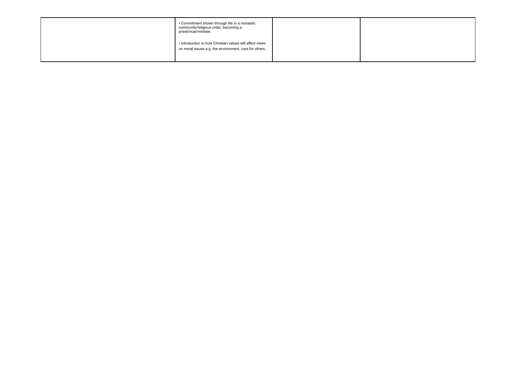| • Commitment shown through life in a monastic<br>community/religious order, becoming a<br>priest/vicar/minister.   |  |
|--------------------------------------------------------------------------------------------------------------------|--|
| . Introduction to how Christian values will affect views<br>on moral issues e.g. the environment, care for others. |  |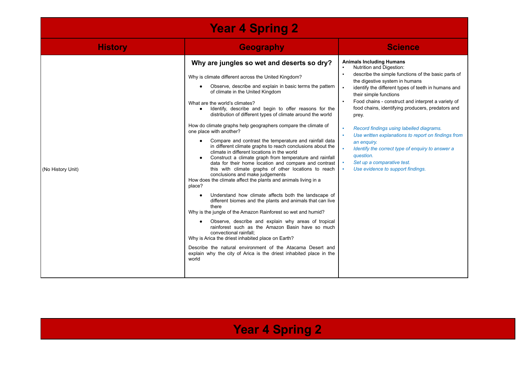| <b>Year 4 Spring 2</b> |                                                                                                                                                                                                                                                                                                                                                                                                                                                                                                                                                                                                                                                                                                                                                                                                                                                                                                                                                                                                                                                                                                                                                                                                                                                                                                                                                                                                                                                                             |                                                                                                                                                                                                                                                                                                                                                                                                                                                                                                                                                                                                                 |  |  |
|------------------------|-----------------------------------------------------------------------------------------------------------------------------------------------------------------------------------------------------------------------------------------------------------------------------------------------------------------------------------------------------------------------------------------------------------------------------------------------------------------------------------------------------------------------------------------------------------------------------------------------------------------------------------------------------------------------------------------------------------------------------------------------------------------------------------------------------------------------------------------------------------------------------------------------------------------------------------------------------------------------------------------------------------------------------------------------------------------------------------------------------------------------------------------------------------------------------------------------------------------------------------------------------------------------------------------------------------------------------------------------------------------------------------------------------------------------------------------------------------------------------|-----------------------------------------------------------------------------------------------------------------------------------------------------------------------------------------------------------------------------------------------------------------------------------------------------------------------------------------------------------------------------------------------------------------------------------------------------------------------------------------------------------------------------------------------------------------------------------------------------------------|--|--|
| <b>History</b>         | <b>Geography</b>                                                                                                                                                                                                                                                                                                                                                                                                                                                                                                                                                                                                                                                                                                                                                                                                                                                                                                                                                                                                                                                                                                                                                                                                                                                                                                                                                                                                                                                            | <b>Science</b>                                                                                                                                                                                                                                                                                                                                                                                                                                                                                                                                                                                                  |  |  |
| (No History Unit)      | Why are jungles so wet and deserts so dry?<br>Why is climate different across the United Kingdom?<br>Observe, describe and explain in basic terms the pattern<br>of climate in the United Kingdom<br>What are the world's climates?<br>Identify, describe and begin to offer reasons for the<br>$\bullet$<br>distribution of different types of climate around the world<br>How do climate graphs help geographers compare the climate of<br>one place with another?<br>Compare and contrast the temperature and rainfall data<br>in different climate graphs to reach conclusions about the<br>climate in different locations in the world<br>Construct a climate graph from temperature and rainfall<br>data for their home location and compare and contrast<br>this with climate graphs of other locations to reach<br>conclusions and make judgements<br>How does the climate affect the plants and animals living in a<br>place?<br>Understand how climate affects both the landscape of<br>different biomes and the plants and animals that can live<br>there<br>Why is the jungle of the Amazon Rainforest so wet and humid?<br>Observe, describe and explain why areas of tropical<br>rainforest such as the Amazon Basin have so much<br>convectional rainfall:<br>Why is Arica the driest inhabited place on Earth?<br>Describe the natural environment of the Atacama Desert and<br>explain why the city of Arica is the driest inhabited place in the<br>world | <b>Animals Including Humans</b><br>Nutrition and Digestion:<br>describe the simple functions of the basic parts of<br>the digestive system in humans<br>identify the different types of teeth in humans and<br>their simple functions<br>Food chains - construct and interpret a variety of<br>food chains, identifying producers, predators and<br>prey.<br>Record findings using labelled diagrams.<br>Use written explanations to report on findings from<br>an enquiry.<br>Identify the correct type of enquiry to answer a<br>question.<br>Set up a comparative test.<br>Use evidence to support findings. |  |  |

## **Year 4 Spring 2**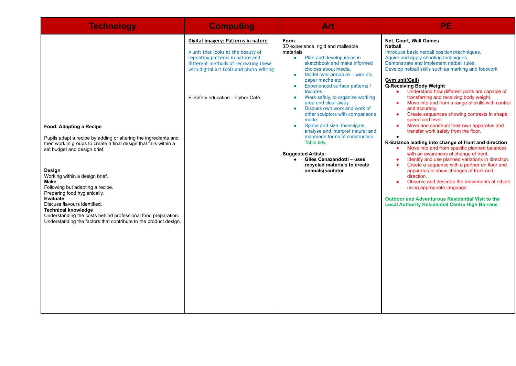| <b>Technology</b>                                                                                                                                                                                                                                                                                                                                                                                                                                                                                                                     | <b>Computing</b>                                                                                                                                                                                                                      | Art                                                                                                                                                                                                                                                                                                                                                                                                                                                                                                                                                                                                                                                                                                                              | PE                                                                                                                                                                                                                                                                                                                                                                                                                                                                                                                                                                                                                                                                                                                                                                                                                                                                                                                                                                                                                                                                                                                                                                                                                                          |
|---------------------------------------------------------------------------------------------------------------------------------------------------------------------------------------------------------------------------------------------------------------------------------------------------------------------------------------------------------------------------------------------------------------------------------------------------------------------------------------------------------------------------------------|---------------------------------------------------------------------------------------------------------------------------------------------------------------------------------------------------------------------------------------|----------------------------------------------------------------------------------------------------------------------------------------------------------------------------------------------------------------------------------------------------------------------------------------------------------------------------------------------------------------------------------------------------------------------------------------------------------------------------------------------------------------------------------------------------------------------------------------------------------------------------------------------------------------------------------------------------------------------------------|---------------------------------------------------------------------------------------------------------------------------------------------------------------------------------------------------------------------------------------------------------------------------------------------------------------------------------------------------------------------------------------------------------------------------------------------------------------------------------------------------------------------------------------------------------------------------------------------------------------------------------------------------------------------------------------------------------------------------------------------------------------------------------------------------------------------------------------------------------------------------------------------------------------------------------------------------------------------------------------------------------------------------------------------------------------------------------------------------------------------------------------------------------------------------------------------------------------------------------------------|
| Food: Adapting a Recipe<br>Pupils adapt a recipe by adding or altering the ingredients and<br>then work in groups to create a final design that falls within a<br>set budget and design brief.<br>Design<br>Working within a design brief.<br>Make<br>Following but adapting a recipe.<br>Preparing food hygienically.<br>Evaluate<br>Discuss flavours identified.<br><b>Technical knowledge</b><br>Understanding the costs behind professional food preparation.<br>Understanding the factors that contribute to the product design. | Digital imagery: Patterns in nature<br>A unit that looks at the beauty of<br>repeating patterns in nature and<br>different methods of recreating these<br>with digital art tools and photo editing<br>E-Safety education - Cyber Café | <b>Form</b><br>3D experience, rigid and malleable<br>materials<br>Plan and develop ideas in<br>$\bullet$<br>sketchbook and make informed<br>choices about media.<br>Model over armature – wire etc.<br>$\bullet$<br>paper mache etc<br>Experienced surface patterns /<br>$\bullet$<br>textures.<br>Work safely, to organize working<br>$\bullet$<br>area and clear away.<br>Discuss own work and work of<br>$\bullet$<br>other sculptors with comparisons<br>made.<br>Space and size. Investigate,<br>$\bullet$<br>analyse and interpret natural and<br>manmade forms of construction.<br>Table tidy.<br><b>Suggested Artists:</b><br>Giles Cenazandotti - uses<br>$\bullet$<br>recycled materials to create<br>animals(sculptor | Net, Court, Wall Games<br><b>Netball</b><br>Introduce basic netball positions/techniques.<br>Aquire and apply shooting techniques.<br>Demonstrate and implement netball rules.<br>Develop netball skills such as marking and footwork.<br>Gym unit(Gail)<br>Q-Receiving Body Weight<br>Understand how different parts are capable of<br>transferring and receiving body weight.<br>Move into and from a range of skills with control<br>$\bullet$<br>and accuracy.<br>Create sequences showing contrasts in shape,<br>$\bullet$<br>speed and level.<br>Move and construct their own apparatus and<br>$\bullet$<br>transfer work safely from the floor.<br>$\bullet$<br>R-Balance leading into change of front and direction<br>Move into and from specific planned balances<br>$\bullet$<br>with an awareness of change of front.<br>Identify and use planned variations in direction.<br>$\bullet$<br>Create a sequence with a partner on floor and<br>$\bullet$<br>apparatus to show changes of front and<br>direction.<br>Observe and describe the movements of others<br>$\bullet$<br>using appropriate language.<br><b>Outdoor and Adventurous Residential Visit to the</b><br><b>Local Authority Residential Centre High Borrans.</b> |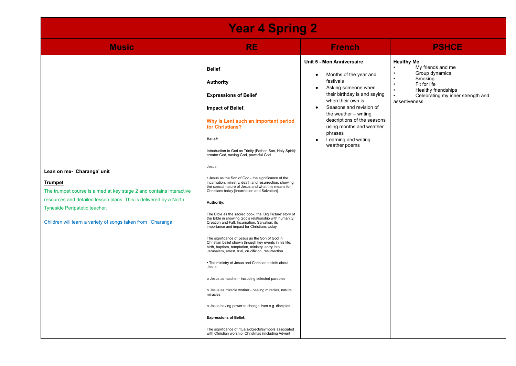| <b>Year 4 Spring 2</b>                                                                                                                                                                                                                                                                     |                                                                                                                                                                                                                                                                                                                                                                                                                                                                                                                                                                                                                                                                                                                                                                                                                                                                                                                                                                                                                                                                                                                                                                                                                                                                                                                                                                        |                                                                                                                                                                                                                                                                                                                                                                     |                                                                                                                                                                               |  |
|--------------------------------------------------------------------------------------------------------------------------------------------------------------------------------------------------------------------------------------------------------------------------------------------|------------------------------------------------------------------------------------------------------------------------------------------------------------------------------------------------------------------------------------------------------------------------------------------------------------------------------------------------------------------------------------------------------------------------------------------------------------------------------------------------------------------------------------------------------------------------------------------------------------------------------------------------------------------------------------------------------------------------------------------------------------------------------------------------------------------------------------------------------------------------------------------------------------------------------------------------------------------------------------------------------------------------------------------------------------------------------------------------------------------------------------------------------------------------------------------------------------------------------------------------------------------------------------------------------------------------------------------------------------------------|---------------------------------------------------------------------------------------------------------------------------------------------------------------------------------------------------------------------------------------------------------------------------------------------------------------------------------------------------------------------|-------------------------------------------------------------------------------------------------------------------------------------------------------------------------------|--|
| <b>Music</b>                                                                                                                                                                                                                                                                               | <b>RE</b>                                                                                                                                                                                                                                                                                                                                                                                                                                                                                                                                                                                                                                                                                                                                                                                                                                                                                                                                                                                                                                                                                                                                                                                                                                                                                                                                                              | <b>French</b>                                                                                                                                                                                                                                                                                                                                                       | <b>PSHCE</b>                                                                                                                                                                  |  |
| Lean on me- 'Charanga' unit<br><b>Trumpet</b><br>The trumpet course is aimed at key stage 2 and contains interactive<br>resources and detailed lesson plans. This is delivered by a North<br>Tyneside Peripatetic teacher.<br>Children will learn a variety of songs taken from 'Charanga' | <b>Belief</b><br><b>Authority</b><br><b>Expressions of Belief</b><br>Impact of Belief.<br>Why is Lent such an important period<br>for Christians?<br>Belief:<br>Introduction to God as Trinity (Father, Son, Holy Spirit):<br>creator God, saving God, powerful God.<br>Jesus<br>• Jesus as the Son of God - the significance of the<br>incarnation, ministry, death and resurrection, showing<br>the special nature of Jesus and what this means for<br>Christians today [Incarnation and Salvation].<br>Authority:<br>The Bible as the sacred book, the 'Big Picture' story of<br>the Bible in showing God's relationship with humanity:<br>Creation and Fall, Incarnation, Salvation; its<br>importance and impact for Christians today.<br>The significance of Jesus as the Son of God in<br>Christian belief shown through key events in his life:<br>birth, baptism, temptation, ministry, entry into<br>Jerusalem, arrest, trial, crucifixion, resurrection.<br>• The ministry of Jesus and Christian beliefs about<br>Jesus:<br>o Jesus as teacher - including selected parables<br>o Jesus as miracle worker - healing miracles, nature<br>miracles<br>o Jesus having power to change lives e.g. disciples.<br><b>Expressions of Belief:</b><br>The significance of rituals/objects/symbols associated<br>with Christian worship, Christmas (including Advent | Unit 5 - Mon Anniversaire<br>Months of the year and<br>$\bullet$<br>festivals<br>Asking someone when<br>$\bullet$<br>their birthday is and saying<br>when their own is<br>Seasons and revision of<br>$\bullet$<br>the weather - writing<br>descriptions of the seasons<br>using months and weather<br>phrases<br>Learning and writing<br>$\bullet$<br>weather poems | <b>Healthy Me</b><br>My friends and me<br>Group dynamics<br>Smoking<br>Fit for life<br>Healthy friendships<br>$\bullet$<br>Celebrating my inner strength and<br>assertiveness |  |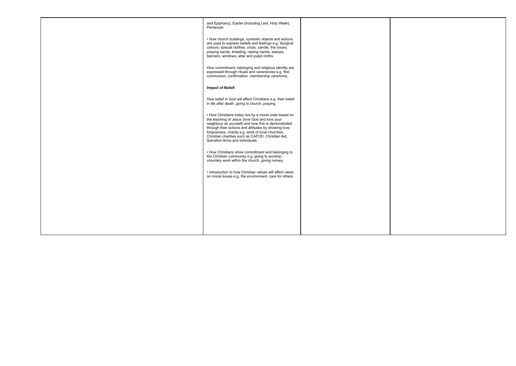| and Epiphany), Easter (including Lent, Holy Week),<br>Pentecost.<br>• How church buildings, symbolic objects and actions<br>are used to express beliefs and feelings e.g. liturgical<br>colours, special clothes, cross, candle, the rosary,<br>praying hands, kneeling, raising hands, statues,<br>banners, windows, altar and pulpit cloths.                    |  |
|-------------------------------------------------------------------------------------------------------------------------------------------------------------------------------------------------------------------------------------------------------------------------------------------------------------------------------------------------------------------|--|
|                                                                                                                                                                                                                                                                                                                                                                   |  |
|                                                                                                                                                                                                                                                                                                                                                                   |  |
| How commitment, belonging and religious identity are<br>expressed through rituals and ceremonies e.g. first<br>communion, confirmation, membership ceremony.                                                                                                                                                                                                      |  |
| Impact of Belief:                                                                                                                                                                                                                                                                                                                                                 |  |
| How belief in God will affect Christians e.g. their belief<br>in life after death, going to church, praying.                                                                                                                                                                                                                                                      |  |
| • How Christians today live by a moral code based on<br>the teaching of Jesus (love God and love your<br>neighbour as yourself) and how this is demonstrated<br>through their actions and attitudes by showing love,<br>forgiveness, charity e.g. work of local churches,<br>Christian charities such as CAFOD, Christian Aid,<br>Salvation Army and individuals. |  |
| • How Christians show commitment and belonging to<br>the Christian community e.g. going to worship,<br>voluntary work within the church, giving money.                                                                                                                                                                                                            |  |
| • Introduction to how Christian values will affect views<br>on moral issues e.g. the environment, care for others.                                                                                                                                                                                                                                                |  |
|                                                                                                                                                                                                                                                                                                                                                                   |  |
|                                                                                                                                                                                                                                                                                                                                                                   |  |
|                                                                                                                                                                                                                                                                                                                                                                   |  |
|                                                                                                                                                                                                                                                                                                                                                                   |  |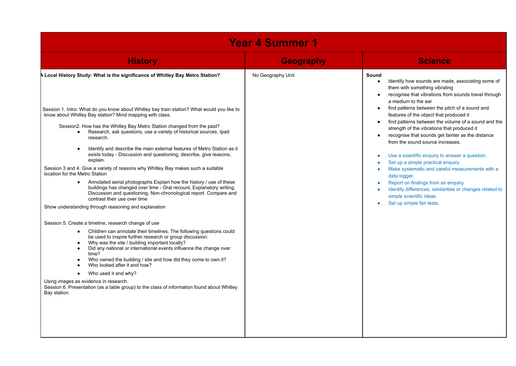|                                                                                                                                                                                                                                                                                                                                                                                                                                                                                                                                                                                                                                                                                                                                                                                                                                                                                                                                                                                                                                                                                                                                                                                                                                                                                                                                                                         | <b>Year 4 Summer 1</b> |                                                                                                                                                                                                                                                                                                                                                                                                                                                                                                                                                                                                                                                                                                                                                                                                                         |
|-------------------------------------------------------------------------------------------------------------------------------------------------------------------------------------------------------------------------------------------------------------------------------------------------------------------------------------------------------------------------------------------------------------------------------------------------------------------------------------------------------------------------------------------------------------------------------------------------------------------------------------------------------------------------------------------------------------------------------------------------------------------------------------------------------------------------------------------------------------------------------------------------------------------------------------------------------------------------------------------------------------------------------------------------------------------------------------------------------------------------------------------------------------------------------------------------------------------------------------------------------------------------------------------------------------------------------------------------------------------------|------------------------|-------------------------------------------------------------------------------------------------------------------------------------------------------------------------------------------------------------------------------------------------------------------------------------------------------------------------------------------------------------------------------------------------------------------------------------------------------------------------------------------------------------------------------------------------------------------------------------------------------------------------------------------------------------------------------------------------------------------------------------------------------------------------------------------------------------------------|
| <b>History</b>                                                                                                                                                                                                                                                                                                                                                                                                                                                                                                                                                                                                                                                                                                                                                                                                                                                                                                                                                                                                                                                                                                                                                                                                                                                                                                                                                          | <b>Geography</b>       | <b>Science</b>                                                                                                                                                                                                                                                                                                                                                                                                                                                                                                                                                                                                                                                                                                                                                                                                          |
| A Local History Study: What is the significance of Whitley Bay Metro Station?<br>Session 1. Intro: What do you know about Whitley bay train station? What would you like to<br>know about Whitley Bay station? Mind mapping with class.<br>Session2. How has the Whitley Bay Metro Station changed from the past?<br>Research, ask questions, use a variety of historical sources. Ipad<br>$\bullet$<br>research.<br>Identify and describe the main external features of Metro Station as it<br>exists today - Discussion and questioning, describe, give reasons,<br>explain.<br>Session 3 and 4. Give a variety of reasons why Whitley Bay makes such a suitable<br>location for the Metro Station<br>Annotated aerial photographs Explain how the history / use of these<br>$\bullet$<br>buildings has changed over time - Oral recount, Explanatory writing,<br>Discussion and questioning, Non-chronological report. Compare and<br>contrast their use over time<br>Show understanding through reasoning and explanation<br>Session 5. Create a timeline, research change of use<br>Children can annotate their timelines. The following questions could<br>$\bullet$<br>be used to inspire further research or group discussion:<br>Why was the site / building important locally?<br>Did any national or international events influence the change over<br>time? | No Geography Unit      | Sound<br>Identify how sounds are made, associating some of<br>$\bullet$<br>them with something vibrating<br>recognise that vibrations from sounds travel through<br>a medium to the ear<br>find patterns between the pitch of a sound and<br>features of the object that produced it<br>find patterns between the volume of a sound and the<br>strength of the vibrations that produced it<br>recognise that sounds get fainter as the distance<br>$\bullet$<br>from the sound source increases.<br>Use a scientific enquiry to answer a question.<br>Set up a simple practical enquiry.<br>Make systematic and careful measurements with a<br>data logger.<br>Report on findings from an enquiry.<br>Identify differences, similarities or changes related to<br>simple scientific ideas.<br>Set up simple fair tests. |
| Who owned the building / site and how did they come to own it?<br>Who looked after it and how?<br>Who used it and why?<br>Using images as evidence in research.<br>Session 6. Presentation (as a table group) to the class of information found about Whitley<br>Bay station.                                                                                                                                                                                                                                                                                                                                                                                                                                                                                                                                                                                                                                                                                                                                                                                                                                                                                                                                                                                                                                                                                           |                        |                                                                                                                                                                                                                                                                                                                                                                                                                                                                                                                                                                                                                                                                                                                                                                                                                         |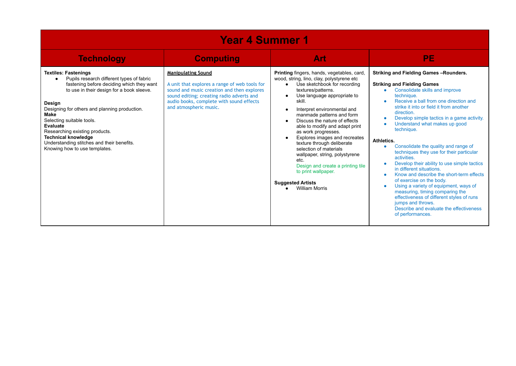| <b>Year 4 Summer 1</b>                                                                                                                                                                                                                                                                                                                                                                                                               |                                                                                                                                                                                                                                             |                                                                                                                                                                                                                                                                                                                                                                                                                                                                                                                                                                                                         |                                                                                                                                                                                                                                                                                                                                                                                                                                                                                                                                                                                                                                                                                                                                                                                                                       |  |
|--------------------------------------------------------------------------------------------------------------------------------------------------------------------------------------------------------------------------------------------------------------------------------------------------------------------------------------------------------------------------------------------------------------------------------------|---------------------------------------------------------------------------------------------------------------------------------------------------------------------------------------------------------------------------------------------|---------------------------------------------------------------------------------------------------------------------------------------------------------------------------------------------------------------------------------------------------------------------------------------------------------------------------------------------------------------------------------------------------------------------------------------------------------------------------------------------------------------------------------------------------------------------------------------------------------|-----------------------------------------------------------------------------------------------------------------------------------------------------------------------------------------------------------------------------------------------------------------------------------------------------------------------------------------------------------------------------------------------------------------------------------------------------------------------------------------------------------------------------------------------------------------------------------------------------------------------------------------------------------------------------------------------------------------------------------------------------------------------------------------------------------------------|--|
| <b>Technology</b>                                                                                                                                                                                                                                                                                                                                                                                                                    | <b>Computing</b>                                                                                                                                                                                                                            | Art                                                                                                                                                                                                                                                                                                                                                                                                                                                                                                                                                                                                     | <b>PE</b>                                                                                                                                                                                                                                                                                                                                                                                                                                                                                                                                                                                                                                                                                                                                                                                                             |  |
| <b>Textiles: Fastenings</b><br>Pupils research different types of fabric<br>fastening before deciding which they want<br>to use in their design for a book sleeve.<br>Design<br>Designing for others and planning production.<br>Make<br>Selecting suitable tools.<br><b>Evaluate</b><br>Researching existing products.<br><b>Technical knowledge</b><br>Understanding stitches and their benefits.<br>Knowing how to use templates. | <b>Manipulating Sound</b><br>A unit that explores a range of web tools for<br>sound and music creation and then explores<br>sound editing; creating radio adverts and<br>audio books, complete with sound effects<br>and atmospheric music. | <b>Printing</b> fingers, hands, vegetables, card,<br>wood, string, lino, clay, polystyrene etc<br>Use sketchbook for recording<br>textures/patterns.<br>Use language appropriate to<br>skill.<br>Interpret environmental and<br>manmade patterns and form<br>Discuss the nature of effects<br>able to modify and adapt print<br>as work progresses.<br>Explores images and recreates<br>texture through deliberate<br>selection of materials<br>wallpaper, string, polystyrene<br>etc.<br>Design and create a printing tile<br>to print wallpaper.<br><b>Suggested Artists</b><br><b>William Morris</b> | Striking and Fielding Games-Rounders.<br><b>Striking and Fielding Games</b><br>Consolidate skills and improve<br>٠<br>technique.<br>Receive a ball from one direction and<br>strike it into or field it from another<br>direction.<br>Develop simple tactics in a game activity.<br>Understand what makes up good<br>technique.<br>Athletics.<br>Consolidate the quality and range of<br>٠<br>techniques they use for their particular<br>activities.<br>Develop their ability to use simple tactics<br>in different situations.<br>Know and describe the short-term effects<br>of exercise on the body.<br>Using a variety of equipment, ways of<br>measuring, timing comparing the<br>effectiveness of different styles of runs<br>jumps and throws.<br>Describe and evaluate the effectiveness<br>of performances. |  |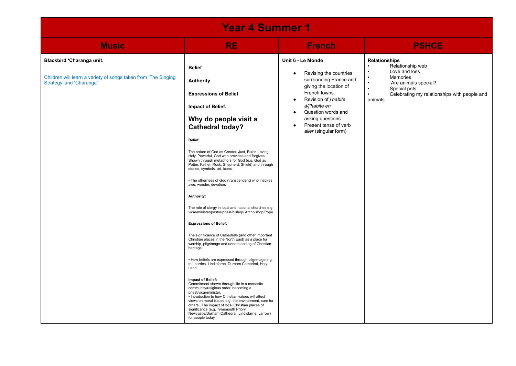| <b>Year 4 Summer 1</b>                                                                                                  |                                                                                                                                                                                                                                                                                                                                                                                                                                                                                                                                                                                                                                                                                                                                                                                                                                                                                                                                                                                                                                                                                                                                                                                                                                                                                                                                                               |                                                                                                                                                                                                                                                                                                     |                                                                                                                                                                                                                 |
|-------------------------------------------------------------------------------------------------------------------------|---------------------------------------------------------------------------------------------------------------------------------------------------------------------------------------------------------------------------------------------------------------------------------------------------------------------------------------------------------------------------------------------------------------------------------------------------------------------------------------------------------------------------------------------------------------------------------------------------------------------------------------------------------------------------------------------------------------------------------------------------------------------------------------------------------------------------------------------------------------------------------------------------------------------------------------------------------------------------------------------------------------------------------------------------------------------------------------------------------------------------------------------------------------------------------------------------------------------------------------------------------------------------------------------------------------------------------------------------------------|-----------------------------------------------------------------------------------------------------------------------------------------------------------------------------------------------------------------------------------------------------------------------------------------------------|-----------------------------------------------------------------------------------------------------------------------------------------------------------------------------------------------------------------|
| <b>Music</b>                                                                                                            | <b>RE</b>                                                                                                                                                                                                                                                                                                                                                                                                                                                                                                                                                                                                                                                                                                                                                                                                                                                                                                                                                                                                                                                                                                                                                                                                                                                                                                                                                     | <b>French</b>                                                                                                                                                                                                                                                                                       | <b>PSHCE</b>                                                                                                                                                                                                    |
| Blackbird 'Charanga unit.<br>Children will learn a variety of songs taken from 'The Singing<br>Strategy' and 'Charanga' | <b>Belief</b><br><b>Authority</b><br><b>Expressions of Belief</b><br>Impact of Belief.<br>Why do people visit a<br><b>Cathedral today?</b><br>Belief:<br>The nature of God as Creator, Just, Ruler, Loving,<br>Holy, Powerful, God who provides and forgives.<br>Shown through metaphors for God (e.g. God as<br>Potter, Father, Rock, Shepherd, Shield) and through<br>stories, symbols, art, icons.<br>• The otherness of God (transcendent) who inspires<br>awe, wonder, devotion.<br>Authority:<br>The role of clergy in local and national churches e.g.<br>vicar/minister/pastor/priest/bishop/ Archbishop/Pope.<br><b>Expressions of Belief:</b><br>The significance of Cathedrals (and other important<br>Christian places in the North East) as a place for<br>worship, pilgrimage and understanding of Christian<br>heritage.<br>· How beliefs are expressed through pilgrimage e.g.<br>to Lourdes, Lindisfarne, Durham Cathedral, Holy<br>Land.<br>Impact of Belief:<br>Commitment shown through life in a monastic<br>community/religious order, becoming a<br>priest/vicar/minister.<br>• Introduction to how Christian values will affect<br>views on moral issues e.g. the environment, care for<br>others The impact of local Christian places of<br>significance (e.g. Tynemouth Priory,<br>Newcastle/Durham Cathedral, Lindisfarne, Jarrow) | Unit 6 - Le Monde<br>Revising the countries<br>$\bullet$<br>surrounding France and<br>giving the location of<br>French towns.<br>Revision of <i>j'habite</i><br>à/j'habite en<br>Question words and<br>$\bullet$<br>asking questions<br>Present tense of verb<br>$\bullet$<br>aller (singular form) | <b>Relationships</b><br>Relationship web<br>Love and loss<br>$\bullet$<br>Memories<br>$\bullet$<br>Are animals special?<br>Special pets<br>$\bullet$<br>Celebrating my relationships with people and<br>animals |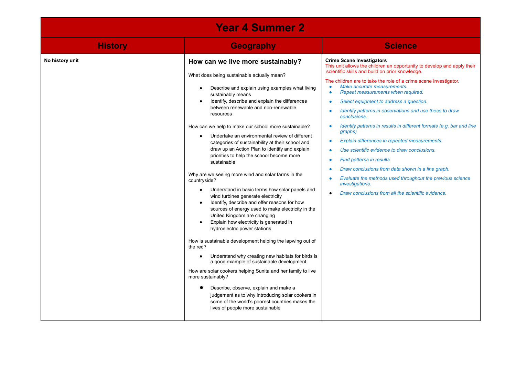| <b>Year 4 Summer 2</b> |                                                                                                                                                                                                                                                                                                                                                                                                                                                                                                                                                                                                                                                                                                                                                                                                                                                                                                                                                                                                                                                                                                                                                                                                                                                                                                                                                                                                                  |                                                                                                                                                                                                                                                                                                                                                                                                                                                                                                                                                                                                                                                                                                                                                                                                                                                                     |  |  |  |
|------------------------|------------------------------------------------------------------------------------------------------------------------------------------------------------------------------------------------------------------------------------------------------------------------------------------------------------------------------------------------------------------------------------------------------------------------------------------------------------------------------------------------------------------------------------------------------------------------------------------------------------------------------------------------------------------------------------------------------------------------------------------------------------------------------------------------------------------------------------------------------------------------------------------------------------------------------------------------------------------------------------------------------------------------------------------------------------------------------------------------------------------------------------------------------------------------------------------------------------------------------------------------------------------------------------------------------------------------------------------------------------------------------------------------------------------|---------------------------------------------------------------------------------------------------------------------------------------------------------------------------------------------------------------------------------------------------------------------------------------------------------------------------------------------------------------------------------------------------------------------------------------------------------------------------------------------------------------------------------------------------------------------------------------------------------------------------------------------------------------------------------------------------------------------------------------------------------------------------------------------------------------------------------------------------------------------|--|--|--|
| <b>History</b>         | <b>Geography</b>                                                                                                                                                                                                                                                                                                                                                                                                                                                                                                                                                                                                                                                                                                                                                                                                                                                                                                                                                                                                                                                                                                                                                                                                                                                                                                                                                                                                 | <b>Science</b>                                                                                                                                                                                                                                                                                                                                                                                                                                                                                                                                                                                                                                                                                                                                                                                                                                                      |  |  |  |
| No history unit        | How can we live more sustainably?<br>What does being sustainable actually mean?<br>Describe and explain using examples what living<br>sustainably means<br>Identify, describe and explain the differences<br>between renewable and non-renewable<br>resources<br>How can we help to make our school more sustainable?<br>Undertake an environmental review of different<br>$\bullet$<br>categories of sustainability at their school and<br>draw up an Action Plan to identify and explain<br>priorities to help the school become more<br>sustainable<br>Why are we seeing more wind and solar farms in the<br>countryside?<br>Understand in basic terms how solar panels and<br>$\bullet$<br>wind turbines generate electricity<br>Identify, describe and offer reasons for how<br>$\bullet$<br>sources of energy used to make electricity in the<br>United Kingdom are changing<br>Explain how electricity is generated in<br>hydroelectric power stations<br>How is sustainable development helping the lapwing out of<br>the red?<br>Understand why creating new habitats for birds is<br>a good example of sustainable development<br>How are solar cookers helping Sunita and her family to live<br>more sustainably?<br>Describe, observe, explain and make a<br>judgement as to why introducing solar cookers in<br>some of the world's poorest countries makes the<br>lives of people more sustainable | <b>Crime Scene Investigators</b><br>This unit allows the children an opportunity to develop and apply their<br>scientific skills and build on prior knowledge.<br>The children are to take the role of a crime scene investigator.<br>Make accurate measurements.<br>Repeat measurements when required.<br>$\bullet$<br>Select equipment to address a question.<br>$\bullet$<br>Identify patterns in observations and use these to draw<br>conclusions.<br>Identify patterns in results in different formats (e.g. bar and line<br>graphs)<br>Explain differences in repeated measurements.<br>Use scientific evidence to draw conclusions.<br>Find patterns in results.<br>Draw conclusions from data shown in a line graph.<br>Evaluate the methods used throughout the previous science<br>investigations.<br>Draw conclusions from all the scientific evidence. |  |  |  |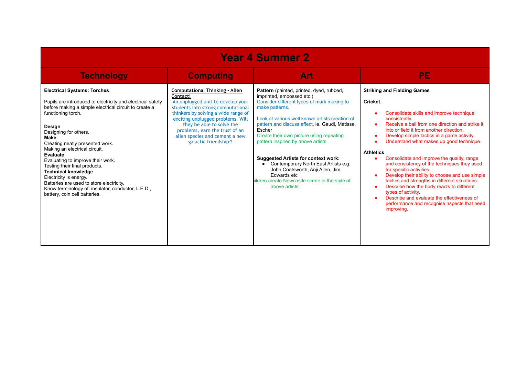| <b>Year 4 Summer 2</b>                                                                                                                                                                                                                                                                                                                                                                                                                                                                                                                                                             |                                                                                                                                                                                                                                                                                                                                    |                                                                                                                                                                                                                                                                                                                                                                                                                                                                                                                                                     |                                                                                                                                                                                                                                                                                                                                                                                                                                                                                                                                                                                                                                                                                                                                     |  |  |
|------------------------------------------------------------------------------------------------------------------------------------------------------------------------------------------------------------------------------------------------------------------------------------------------------------------------------------------------------------------------------------------------------------------------------------------------------------------------------------------------------------------------------------------------------------------------------------|------------------------------------------------------------------------------------------------------------------------------------------------------------------------------------------------------------------------------------------------------------------------------------------------------------------------------------|-----------------------------------------------------------------------------------------------------------------------------------------------------------------------------------------------------------------------------------------------------------------------------------------------------------------------------------------------------------------------------------------------------------------------------------------------------------------------------------------------------------------------------------------------------|-------------------------------------------------------------------------------------------------------------------------------------------------------------------------------------------------------------------------------------------------------------------------------------------------------------------------------------------------------------------------------------------------------------------------------------------------------------------------------------------------------------------------------------------------------------------------------------------------------------------------------------------------------------------------------------------------------------------------------------|--|--|
| <b>Technology</b>                                                                                                                                                                                                                                                                                                                                                                                                                                                                                                                                                                  | <b>Computing</b>                                                                                                                                                                                                                                                                                                                   | <b>Art</b>                                                                                                                                                                                                                                                                                                                                                                                                                                                                                                                                          | <b>PE</b>                                                                                                                                                                                                                                                                                                                                                                                                                                                                                                                                                                                                                                                                                                                           |  |  |
| <b>Electrical Systems: Torches</b><br>Pupils are introduced to electricity and electrical safety<br>before making a simple electrical circuit to create a<br>functioning torch.<br>Design<br>Designing for others.<br><b>Make</b><br>Creating neatly presented work.<br>Making an electrical circuit.<br>Evaluate<br>Evaluating to improve their work.<br>Testing their final products.<br><b>Technical knowledge</b><br>Electricity is energy.<br>Batteries are used to store electricity.<br>Know terminology of: insulator, conductor, L.E.D.,<br>battery, coin cell batteries. | <b>Computational Thinking - Alien</b><br>Contact!<br>An unplugged unit to develop your<br>students into strong computational<br>thinkers by solving a wide range of<br>exciting unplugged problems. Will<br>they be able to solve the<br>problems, earn the trust of an<br>alien species and cement a new<br>galactic friendship?! | Pattern (painted, printed, dyed, rubbed,<br>imprinted, embossed etc.)<br>Consider different types of mark making to<br>make patterns.<br>Look at various well known artists creation of<br>pattern and discuss effect, ie. Gaudi, Matisse,<br>Escher<br>Create their own picture using repeating<br>pattern inspired by above artists.<br><b>Suggested Artists for context work:</b><br>Contemporary North East Artists e.g.<br>John Coatsworth, Anji Allen, Jim<br>Edwards etc<br>hildren create Newcastle scene in the style of<br>above artists. | <b>Striking and Fielding Games</b><br>Cricket.<br>Consolidate skills and improve technique<br>consistently.<br>Receive a ball from one direction and strike it<br>into or field it from another direction.<br>Develop simple tactics in a game activity.<br>Understand what makes up good technique.<br><b>Athletics</b><br>Consolidate and improve the quality, range<br>and consistency of the techniques they used<br>for specific activities.<br>Develop their ability to choose and use simple<br>tactics and strengths in different situations.<br>Describe how the body reacts to different<br>types of activity.<br>Describe and evaluate the effectiveness of<br>performance and recognise aspects that need<br>improving. |  |  |